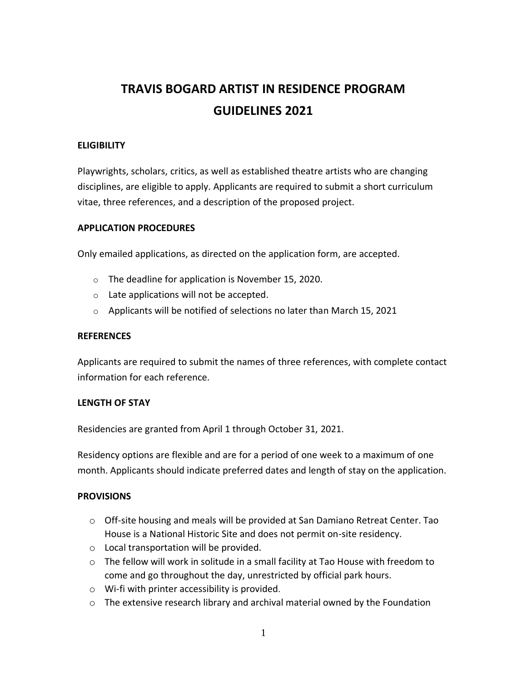## **TRAVIS BOGARD ARTIST IN RESIDENCE PROGRAM GUIDELINES 2021**

#### **ELIGIBILITY**

Playwrights, scholars, critics, as well as established theatre artists who are changing disciplines, are eligible to apply. Applicants are required to submit a short curriculum vitae, three references, and a description of the proposed project.

#### **APPLICATION PROCEDURES**

Only emailed applications, as directed on the application form, are accepted.

- o The deadline for application is November 15, 2020.
- o Late applications will not be accepted.
- o Applicants will be notified of selections no later than March 15, 2021

#### **REFERENCES**

Applicants are required to submit the names of three references, with complete contact information for each reference.

#### **LENGTH OF STAY**

Residencies are granted from April 1 through October 31, 2021.

Residency options are flexible and are for a period of one week to a maximum of one month. Applicants should indicate preferred dates and length of stay on the application.

#### **PROVISIONS**

- o Off-site housing and meals will be provided at San Damiano Retreat Center. Tao House is a National Historic Site and does not permit on-site residency.
- o Local transportation will be provided.
- o The fellow will work in solitude in a small facility at Tao House with freedom to come and go throughout the day, unrestricted by official park hours.
- o Wi-fi with printer accessibility is provided.
- $\circ$  The extensive research library and archival material owned by the Foundation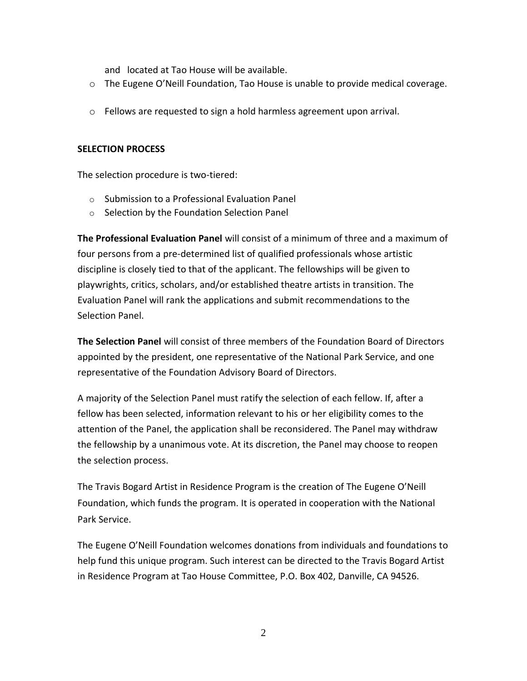and located at Tao House will be available.

- $\circ$  The Eugene O'Neill Foundation, Tao House is unable to provide medical coverage.
- $\circ$  Fellows are requested to sign a hold harmless agreement upon arrival.

#### **SELECTION PROCESS**

The selection procedure is two-tiered:

- o Submission to a Professional Evaluation Panel
- o Selection by the Foundation Selection Panel

**The Professional Evaluation Panel** will consist of a minimum of three and a maximum of four persons from a pre-determined list of qualified professionals whose artistic discipline is closely tied to that of the applicant. The fellowships will be given to playwrights, critics, scholars, and/or established theatre artists in transition. The Evaluation Panel will rank the applications and submit recommendations to the Selection Panel.

**The Selection Panel** will consist of three members of the Foundation Board of Directors appointed by the president, one representative of the National Park Service, and one representative of the Foundation Advisory Board of Directors.

A majority of the Selection Panel must ratify the selection of each fellow. If, after a fellow has been selected, information relevant to his or her eligibility comes to the attention of the Panel, the application shall be reconsidered. The Panel may withdraw the fellowship by a unanimous vote. At its discretion, the Panel may choose to reopen the selection process.

The Travis Bogard Artist in Residence Program is the creation of The Eugene O'Neill Foundation, which funds the program. It is operated in cooperation with the National Park Service.

The Eugene O'Neill Foundation welcomes donations from individuals and foundations to help fund this unique program. Such interest can be directed to the Travis Bogard Artist in Residence Program at Tao House Committee, P.O. Box 402, Danville, CA 94526.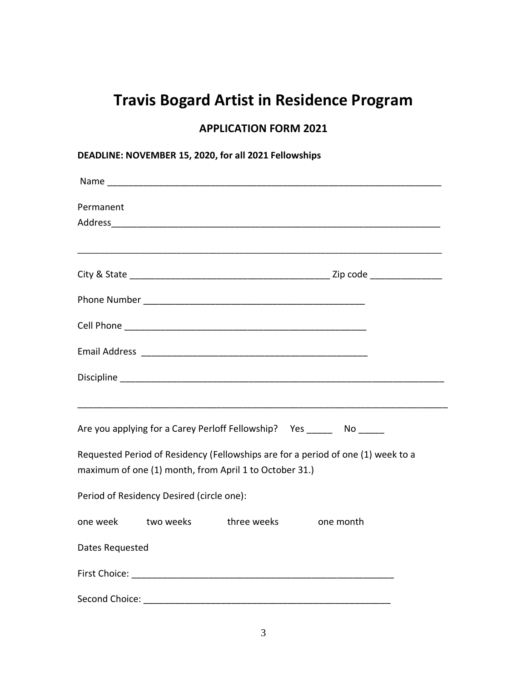# **Travis Bogard Artist in Residence Program**

## **APPLICATION FORM 2021**

| Permanent       |                                           |                                                        |                                                                                   |  |
|-----------------|-------------------------------------------|--------------------------------------------------------|-----------------------------------------------------------------------------------|--|
|                 |                                           |                                                        |                                                                                   |  |
|                 |                                           |                                                        | ,我们也不能在这里的人,我们也不能在这里的人,我们也不能在这里的人,我们也不能在这里的人,我们也不能在这里的人,我们也不能在这里的人,我们也不能在这里的人,我们也 |  |
|                 |                                           |                                                        |                                                                                   |  |
|                 |                                           |                                                        |                                                                                   |  |
|                 |                                           |                                                        |                                                                                   |  |
|                 |                                           |                                                        |                                                                                   |  |
|                 |                                           |                                                        | Are you applying for a Carey Perloff Fellowship? Yes _______ No ______            |  |
|                 |                                           | maximum of one (1) month, from April 1 to October 31.) | Requested Period of Residency (Fellowships are for a period of one (1) week to a  |  |
|                 | Period of Residency Desired (circle one): |                                                        |                                                                                   |  |
| one week        | two weeks bethree weeks                   |                                                        | one month                                                                         |  |
| Dates Requested |                                           |                                                        |                                                                                   |  |
|                 |                                           |                                                        |                                                                                   |  |
| Second Choice:  |                                           |                                                        |                                                                                   |  |

## **DEADLINE: NOVEMBER 15, 2020, for all 2021 Fellowships**